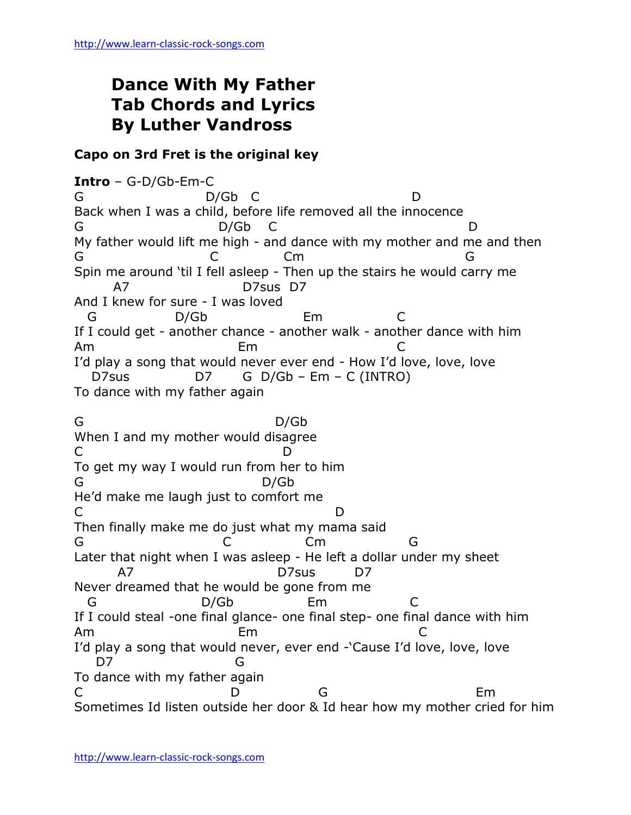## **Dance With My Father Tab Chords and Lyrics By Luther Vandross**

## **Capo on 3rd Fret is the original key**

**Intro** – G-D/Gb-Em-C G D/Gb C D Back when I was a child, before life removed all the innocence D/Gb C D My father would lift me high - and dance with my mother and me and then G C Cm G Spin me around 'til I fell asleep - Then up the stairs he would carry me A7 D7sus D7 And I knew for sure - I was loved G D/Gb Em C If I could get - another chance - another walk - another dance with him Am Em C I'd play a song that would never ever end - How I'd love, love, love D7sus D7 G D/Gb – Em – C (INTRO) To dance with my father again G D/Gb When I and my mother would disagree C D To get my way I would run from her to him G D/Gb He'd make me laugh just to comfort me C<sub>D</sub> Then finally make me do just what my mama said G C Cm G Later that night when I was asleep - He left a dollar under my sheet A7 D7sus D7 Never dreamed that he would be gone from me G D/Gb Em C If I could steal -one final glance- one final step- one final dance with him Am Em C I'd play a song that would never, ever end -'Cause I'd love, love, love D7 G To dance with my father again C D G Em Sometimes Id listen outside her door & Id hear how my mother cried for him